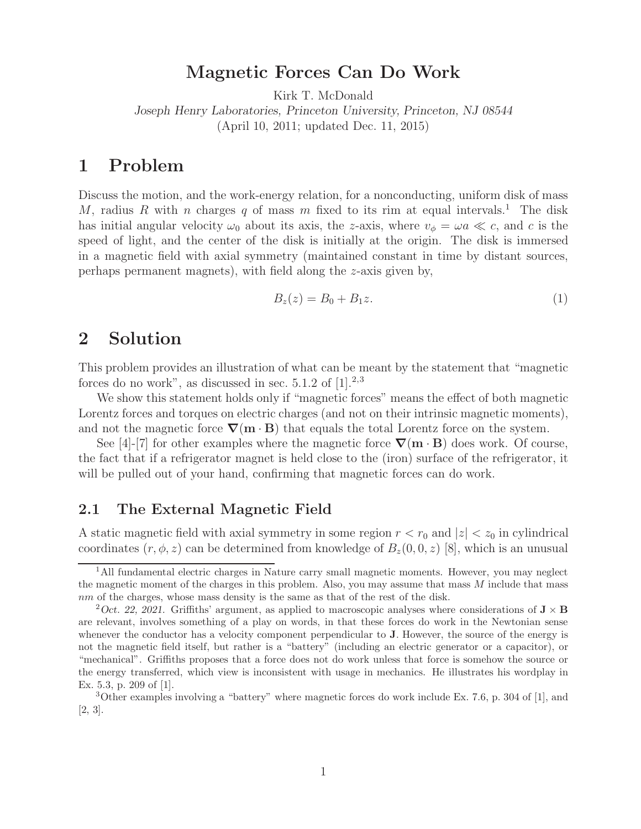# **Magnetic Forces Can Do Work**

Kirk T. McDonald

*Joseph Henry Laboratories, Princeton University, Princeton, NJ 08544* (April 10, 2011; updated Dec. 11, 2015)

## **1 Problem**

Discuss the motion, and the work-energy relation, for a nonconducting, uniform disk of mass M, radius R with n charges q of mass m fixed to its rim at equal intervals.<sup>1</sup> The disk has initial angular velocity  $\omega_0$  about its axis, the z-axis, where  $v_{\phi} = \omega a \ll c$ , and c is the speed of light, and the center of the disk is initially at the origin. The disk is immersed in a magnetic field with axial symmetry (maintained constant in time by distant sources, perhaps permanent magnets), with field along the z-axis given by,

$$
B_z(z) = B_0 + B_1 z. \tag{1}
$$

## **2 Solution**

This problem provides an illustration of what can be meant by the statement that "magnetic forces do no work", as discussed in sec.  $5.1.2$  of  $[1].^{2,3}$ 

We show this statement holds only if "magnetic forces" means the effect of both magnetic Lorentz forces and torques on electric charges (and not on their intrinsic magnetic moments), and not the magnetic force  $\nabla$ (**m**  $\cdot$ **B**) that equals the total Lorentz force on the system.

See [4]-[7] for other examples where the magnetic force *∇*(**m** · **B**) does work. Of course, the fact that if a refrigerator magnet is held close to the (iron) surface of the refrigerator, it will be pulled out of your hand, confirming that magnetic forces can do work.

#### **2.1 The External Magnetic Field**

A static magnetic field with axial symmetry in some region  $r < r_0$  and  $|z| < z_0$  in cylindrical coordinates  $(r, \phi, z)$  can be determined from knowledge of  $B_z(0, 0, z)$  [8], which is an unusual

<sup>&</sup>lt;sup>1</sup>All fundamental electric charges in Nature carry small magnetic moments. However, you may neglect the magnetic moment of the charges in this problem. Also, you may assume that mass *M* include that mass *nm* of the charges, whose mass density is the same as that of the rest of the disk.

<sup>&</sup>lt;sup>2</sup>Oct. 22, 2021. Griffiths' argument, as applied to macroscopic analyses where considerations of  $\mathbf{J} \times \mathbf{B}$ are relevant, involves something of a play on words, in that these forces do work in the Newtonian sense whenever the conductor has a velocity component perpendicular to **J**. However, the source of the energy is not the magnetic field itself, but rather is a "battery" (including an electric generator or a capacitor), or "mechanical". Griffiths proposes that a force does not do work unless that force is somehow the source or the energy transferred, which view is inconsistent with usage in mechanics. He illustrates his wordplay in Ex. 5.3, p. 209 of [1].

<sup>3</sup>Other examples involving a "battery" where magnetic forces do work include Ex. 7.6, p. 304 of [1], and [2, 3].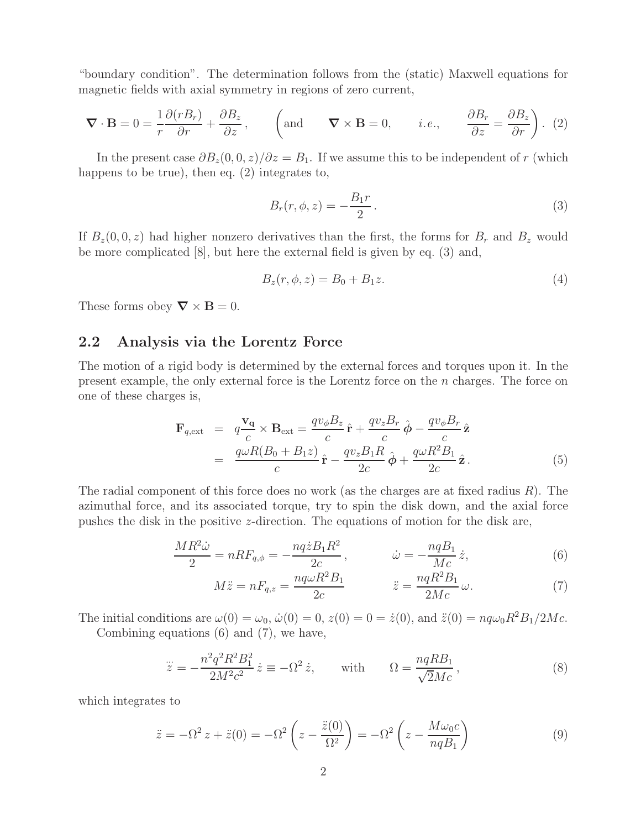"boundary condition". The determination follows from the (static) Maxwell equations for magnetic fields with axial symmetry in regions of zero current,

$$
\nabla \cdot \mathbf{B} = 0 = \frac{1}{r} \frac{\partial (rB_r)}{\partial r} + \frac{\partial B_z}{\partial z}, \qquad \left(\text{and} \qquad \nabla \times \mathbf{B} = 0, \qquad i.e., \qquad \frac{\partial B_r}{\partial z} = \frac{\partial B_z}{\partial r}\right). (2)
$$

In the present case  $\partial B_z(0,0,z)/\partial z = B_1$ . If we assume this to be independent of r (which happens to be true), then eq. (2) integrates to,

$$
B_r(r,\phi,z) = -\frac{B_1r}{2}.
$$
\n
$$
(3)
$$

If  $B_z(0, 0, z)$  had higher nonzero derivatives than the first, the forms for  $B_r$  and  $B_z$  would be more complicated [8], but here the external field is given by eq. (3) and,

$$
B_z(r, \phi, z) = B_0 + B_1 z.
$$
\n(4)

These forms obey  $\nabla \times \mathbf{B} = 0$ .

### **2.2 Analysis via the Lorentz Force**

The motion of a rigid body is determined by the external forces and torques upon it. In the present example, the only external force is the Lorentz force on the n charges. The force on one of these charges is,

$$
\mathbf{F}_{q,\text{ext}} = q \frac{\mathbf{v}_q}{c} \times \mathbf{B}_{\text{ext}} = \frac{qv_{\phi}B_z}{c} \hat{\mathbf{r}} + \frac{qv_zB_r}{c} \hat{\boldsymbol{\phi}} - \frac{qv_{\phi}B_r}{c} \hat{\mathbf{z}}
$$
  
= 
$$
\frac{q\omega R(B_0 + B_1 z)}{c} \hat{\mathbf{r}} - \frac{qv_zB_1R}{2c} \hat{\boldsymbol{\phi}} + \frac{q\omega R^2B_1}{2c} \hat{\mathbf{z}}.
$$
 (5)

The radial component of this force does no work (as the charges are at fixed radius  $R$ ). The azimuthal force, and its associated torque, try to spin the disk down, and the axial force pushes the disk in the positive z-direction. The equations of motion for the disk are,

$$
\frac{MR^2\dot{\omega}}{2} = nRF_{q,\phi} = -\frac{nq\dot{z}B_1R^2}{2c}, \qquad \dot{\omega} = -\frac{nqB_1}{Mc}\dot{z}, \qquad (6)
$$

$$
M\ddot{z} = nF_{q,z} = \frac{nq\omega R^2 B_1}{2c} \qquad \ddot{z} = \frac{nqR^2 B_1}{2Mc} \omega.
$$
 (7)

The initial conditions are  $\omega(0) = \omega_0$ ,  $\dot{\omega}(0) = 0$ ,  $z(0) = 0 = \dot{z}(0)$ , and  $\ddot{z}(0) = nq\omega_0R^2B_1/2Mc$ .

Combining equations (6) and (7), we have,

$$
\ddot{z} = -\frac{n^2 q^2 R^2 B_1^2}{2M^2 c^2} \dot{z} \equiv -\Omega^2 \dot{z}, \quad \text{with} \quad \Omega = \frac{nq R B_1}{\sqrt{2}Mc}, \tag{8}
$$

which integrates to

$$
\ddot{z} = -\Omega^2 z + \ddot{z}(0) = -\Omega^2 \left( z - \frac{\ddot{z}(0)}{\Omega^2} \right) = -\Omega^2 \left( z - \frac{M\omega_0 c}{nqB_1} \right) \tag{9}
$$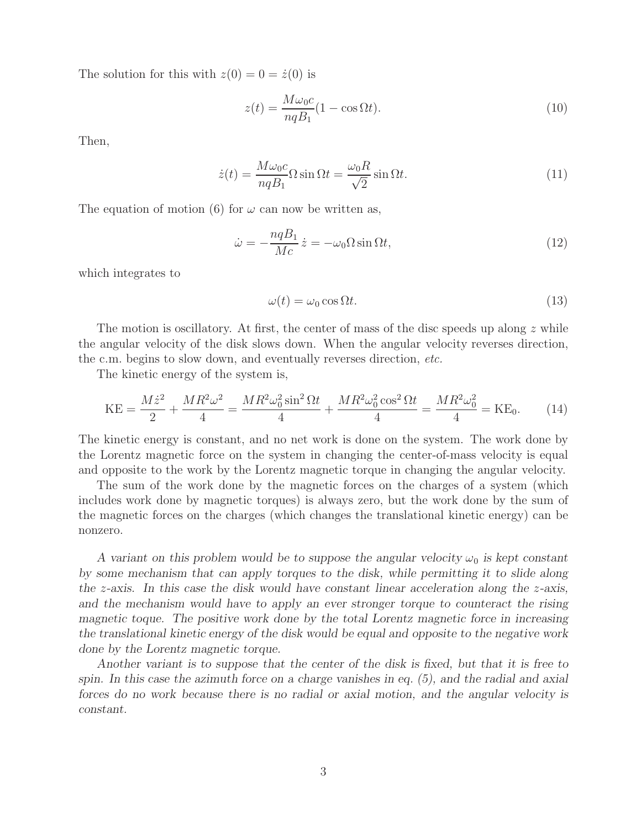The solution for this with  $z(0) = 0 = \dot{z}(0)$  is

$$
z(t) = \frac{M\omega_0 c}{nqB_1} (1 - \cos \Omega t). \tag{10}
$$

Then,

$$
\dot{z}(t) = \frac{M\omega_0 c}{nqB_1} \Omega \sin \Omega t = \frac{\omega_0 R}{\sqrt{2}} \sin \Omega t.
$$
\n(11)

The equation of motion (6) for  $\omega$  can now be written as,

$$
\dot{\omega} = -\frac{nqB_1}{Mc}\dot{z} = -\omega_0 \Omega \sin \Omega t,\tag{12}
$$

which integrates to

$$
\omega(t) = \omega_0 \cos \Omega t. \tag{13}
$$

The motion is oscillatory. At first, the center of mass of the disc speeds up along  $z$  while the angular velocity of the disk slows down. When the angular velocity reverses direction, the c.m. begins to slow down, and eventually reverses direction, *etc.*

The kinetic energy of the system is,

$$
KE = \frac{M\dot{z}^2}{2} + \frac{MR^2\omega^2}{4} = \frac{MR^2\omega_0^2\sin^2\Omega t}{4} + \frac{MR^2\omega_0^2\cos^2\Omega t}{4} = \frac{MR^2\omega_0^2}{4} = KE_0.
$$
 (14)

The kinetic energy is constant, and no net work is done on the system. The work done by the Lorentz magnetic force on the system in changing the center-of-mass velocity is equal and opposite to the work by the Lorentz magnetic torque in changing the angular velocity.

The sum of the work done by the magnetic forces on the charges of a system (which includes work done by magnetic torques) is always zero, but the work done by the sum of the magnetic forces on the charges (which changes the translational kinetic energy) can be nonzero.

*A variant on this problem would be to suppose the angular velocity*  $\omega_0$  *is kept constant by some mechanism that can apply torques to the disk, while permitting it to slide along the* z*-axis. In this case the disk would have constant linear acceleration along the* z*-axis, and the mechanism would have to apply an ever stronger torque to counteract the rising magnetic toque. The positive work done by the total Lorentz magnetic force in increasing the translational kinetic energy of the disk would be equal and opposite to the negative work done by the Lorentz magnetic torque.*

*Another variant is to suppose that the center of the disk is fixed, but that it is free to spin. In this case the azimuth force on a charge vanishes in eq. (5), and the radial and axial forces do no work because there is no radial or axial motion, and the angular velocity is constant.*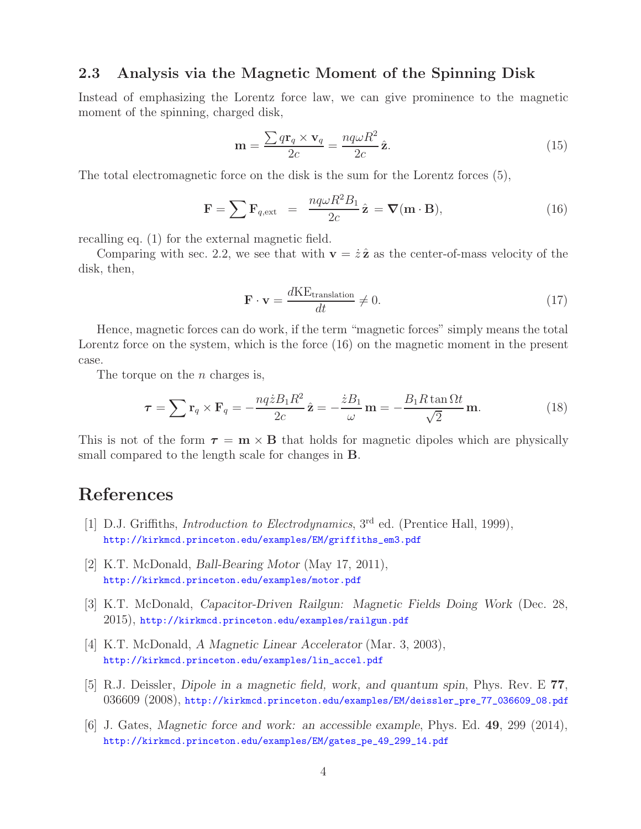#### **2.3 Analysis via the Magnetic Moment of the Spinning Disk**

Instead of emphasizing the Lorentz force law, we can give prominence to the magnetic moment of the spinning, charged disk,

$$
\mathbf{m} = \frac{\sum q \mathbf{r}_q \times \mathbf{v}_q}{2c} = \frac{nq\omega R^2}{2c} \hat{\mathbf{z}}.
$$
 (15)

The total electromagnetic force on the disk is the sum for the Lorentz forces (5),

$$
\mathbf{F} = \sum \mathbf{F}_{q,\text{ext}} = \frac{nq\omega R^2 B_1}{2c} \hat{\mathbf{z}} = \nabla(\mathbf{m} \cdot \mathbf{B}), \qquad (16)
$$

recalling eq. (1) for the external magnetic field.

Comparing with sec. 2.2, we see that with  $\mathbf{v} = \dot{z} \hat{z}$  as the center-of-mass velocity of the disk, then,

$$
\mathbf{F} \cdot \mathbf{v} = \frac{d\mathbf{KE}_{\text{translation}}}{dt} \neq 0. \tag{17}
$$

Hence, magnetic forces can do work, if the term "magnetic forces" simply means the total Lorentz force on the system, which is the force (16) on the magnetic moment in the present case.

The torque on the  $n$  charges is,

$$
\tau = \sum \mathbf{r}_q \times \mathbf{F}_q = -\frac{nq \dot{z} B_1 R^2}{2c} \hat{\mathbf{z}} = -\frac{\dot{z} B_1}{\omega} \mathbf{m} = -\frac{B_1 R \tan \Omega t}{\sqrt{2}} \mathbf{m}.
$$
 (18)

This is not of the form  $\tau = \mathbf{m} \times \mathbf{B}$  that holds for magnetic dipoles which are physically small compared to the length scale for changes in **B**.

# **References**

- [1] D.J. Griffiths, *Introduction to Electrodynamics*, 3rd ed. (Prentice Hall, 1999), http://kirkmcd.princeton.edu/examples/EM/griffiths\_em3.pdf
- [2] K.T. McDonald, *Ball-Bearing Motor* (May 17, 2011), http://kirkmcd.princeton.edu/examples/motor.pdf
- [3] K.T. McDonald, *Capacitor-Driven Railgun: Magnetic Fields Doing Work* (Dec. 28, 2015), http://kirkmcd.princeton.edu/examples/railgun.pdf
- [4] K.T. McDonald, *A Magnetic Linear Accelerator* (Mar. 3, 2003), http://kirkmcd.princeton.edu/examples/lin\_accel.pdf
- [5] R.J. Deissler, *Dipole in a magnetic field, work, and quantum spin*, Phys. Rev. E **77**, 036609 (2008), http://kirkmcd.princeton.edu/examples/EM/deissler\_pre\_77\_036609\_08.pdf
- [6] J. Gates, *Magnetic force and work: an accessible example*, Phys. Ed. **49**, 299 (2014), http://kirkmcd.princeton.edu/examples/EM/gates\_pe\_49\_299\_14.pdf